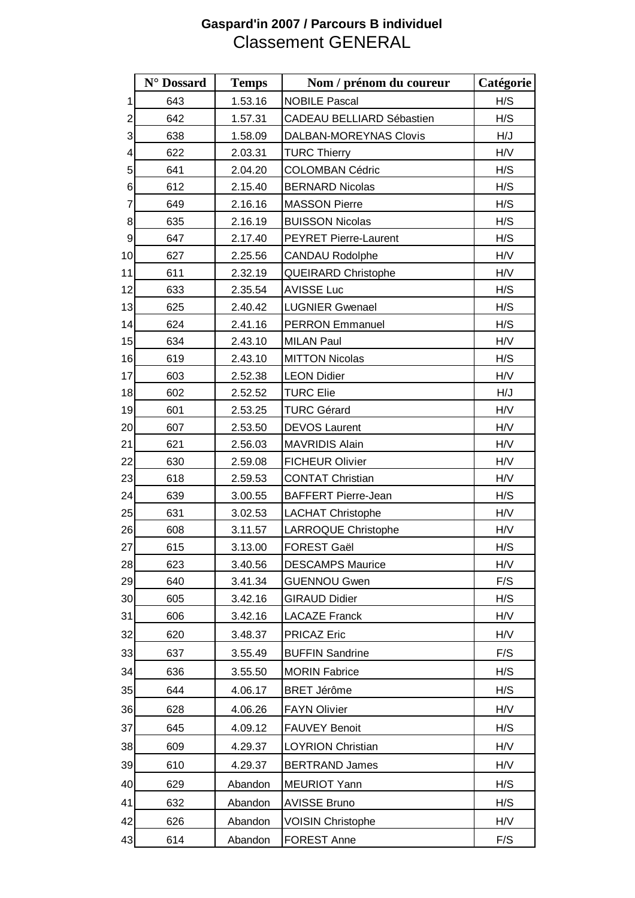## **Gaspard'in 2007 / Parcours B individuel** Classement GENERAL

|                | N° Dossard | <b>Temps</b> | Nom / prénom du coureur      | Catégorie |
|----------------|------------|--------------|------------------------------|-----------|
| 1              | 643        | 1.53.16      | <b>NOBILE Pascal</b>         | H/S       |
| $\overline{2}$ | 642        | 1.57.31      | CADEAU BELLIARD Sébastien    | H/S       |
| 3              | 638        | 1.58.09      | DALBAN-MOREYNAS Clovis       | H/J       |
| 4              | 622        | 2.03.31      | <b>TURC Thierry</b>          | H/V       |
| 5              | 641        | 2.04.20      | <b>COLOMBAN Cédric</b>       | H/S       |
| 6              | 612        | 2.15.40      | <b>BERNARD Nicolas</b>       | H/S       |
| 7              | 649        | 2.16.16      | <b>MASSON Pierre</b>         | H/S       |
| 8              | 635        | 2.16.19      | <b>BUISSON Nicolas</b>       | H/S       |
| 9              | 647        | 2.17.40      | <b>PEYRET Pierre-Laurent</b> | H/S       |
| 10             | 627        | 2.25.56      | <b>CANDAU Rodolphe</b>       | H/V       |
| 11             | 611        | 2.32.19      | <b>QUEIRARD Christophe</b>   | H/V       |
| 12             | 633        | 2.35.54      | <b>AVISSE Luc</b>            | H/S       |
| 13             | 625        | 2.40.42      | <b>LUGNIER Gwenael</b>       | H/S       |
| 14             | 624        | 2.41.16      | <b>PERRON Emmanuel</b>       | H/S       |
| 15             | 634        | 2.43.10      | <b>MILAN Paul</b>            | H/V       |
| 16             | 619        | 2.43.10      | <b>MITTON Nicolas</b>        | H/S       |
| 17             | 603        | 2.52.38      | <b>LEON Didier</b>           | H/V       |
| 18             | 602        | 2.52.52      | <b>TURC Elie</b>             | H/J       |
| 19             | 601        | 2.53.25      | <b>TURC Gérard</b>           | H/V       |
| 20             | 607        | 2.53.50      | <b>DEVOS Laurent</b>         | H/V       |
| 21             | 621        | 2.56.03      | <b>MAVRIDIS Alain</b>        | H/V       |
| 22             | 630        | 2.59.08      | <b>FICHEUR Olivier</b>       | H/V       |
| 23             | 618        | 2.59.53      | <b>CONTAT Christian</b>      | H/V       |
| 24             | 639        | 3.00.55      | <b>BAFFERT Pierre-Jean</b>   | H/S       |
| 25             | 631        | 3.02.53      | <b>LACHAT Christophe</b>     | H/V       |
| 26             | 608        | 3.11.57      | LARROQUE Christophe          | H/V       |
| 27             | 615        | 3.13.00      | FOREST Gaël                  | H/S       |
| 28             | 623        | 3.40.56      | <b>DESCAMPS Maurice</b>      | H/V       |
| 29             | 640        | 3.41.34      | <b>GUENNOU Gwen</b>          | F/S       |
| 30             | 605        | 3.42.16      | <b>GIRAUD Didier</b>         | H/S       |
| 31             | 606        | 3.42.16      | <b>LACAZE Franck</b>         | H/V       |
| 32             | 620        | 3.48.37      | <b>PRICAZ Eric</b>           | H/V       |
| 33             | 637        | 3.55.49      | <b>BUFFIN Sandrine</b>       | F/S       |
| 34             | 636        | 3.55.50      | <b>MORIN Fabrice</b>         | H/S       |
| 35             | 644        | 4.06.17      | <b>BRET Jérôme</b>           | H/S       |
| 36             | 628        | 4.06.26      | <b>FAYN Olivier</b>          | H/V       |
| 37             | 645        | 4.09.12      | <b>FAUVEY Benoit</b>         | H/S       |
| 38             | 609        | 4.29.37      | <b>LOYRION Christian</b>     | H/V       |
| 39             | 610        | 4.29.37      | <b>BERTRAND James</b>        | H/V       |
| 40             | 629        | Abandon      | <b>MEURIOT Yann</b>          | H/S       |
| 41             | 632        | Abandon      | <b>AVISSE Bruno</b>          | H/S       |
| 42             | 626        | Abandon      | <b>VOISIN Christophe</b>     | H/V       |
| 43             | 614        | Abandon      | FOREST Anne                  | F/S       |